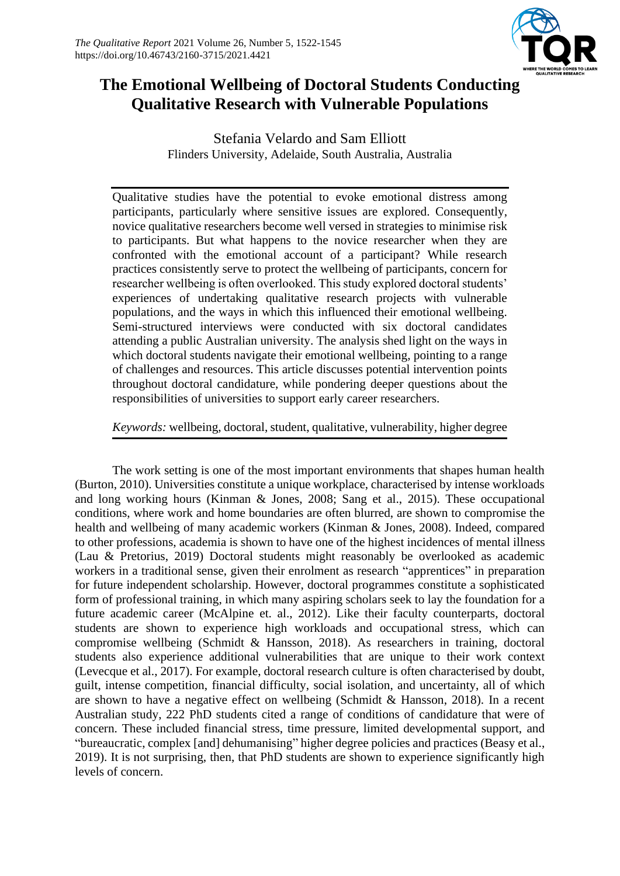

# **The Emotional Wellbeing of Doctoral Students Conducting Qualitative Research with Vulnerable Populations**

Stefania Velardo and Sam Elliott Flinders University, Adelaide, South Australia, Australia

Qualitative studies have the potential to evoke emotional distress among participants, particularly where sensitive issues are explored. Consequently, novice qualitative researchers become well versed in strategies to minimise risk to participants. But what happens to the novice researcher when they are confronted with the emotional account of a participant? While research practices consistently serve to protect the wellbeing of participants, concern for researcher wellbeing is often overlooked. This study explored doctoral students' experiences of undertaking qualitative research projects with vulnerable populations, and the ways in which this influenced their emotional wellbeing. Semi-structured interviews were conducted with six doctoral candidates attending a public Australian university. The analysis shed light on the ways in which doctoral students navigate their emotional wellbeing, pointing to a range of challenges and resources. This article discusses potential intervention points throughout doctoral candidature, while pondering deeper questions about the responsibilities of universities to support early career researchers.

# *Keywords:* wellbeing, doctoral, student, qualitative, vulnerability, higher degree

The work setting is one of the most important environments that shapes human health (Burton, 2010). Universities constitute a unique workplace, characterised by intense workloads and long working hours (Kinman & Jones, 2008; Sang et al., 2015). These occupational conditions, where work and home boundaries are often blurred, are shown to compromise the health and wellbeing of many academic workers (Kinman & Jones, 2008). Indeed, compared to other professions, academia is shown to have one of the highest incidences of mental illness (Lau & Pretorius, 2019) Doctoral students might reasonably be overlooked as academic workers in a traditional sense, given their enrolment as research "apprentices" in preparation for future independent scholarship. However, doctoral programmes constitute a sophisticated form of professional training, in which many aspiring scholars seek to lay the foundation for a future academic career (McAlpine et. al., 2012). Like their faculty counterparts, doctoral students are shown to experience high workloads and occupational stress, which can compromise wellbeing (Schmidt & Hansson, 2018). As researchers in training, doctoral students also experience additional vulnerabilities that are unique to their work context (Levecque et al., 2017). For example, doctoral research culture is often characterised by doubt, guilt, intense competition, financial difficulty, social isolation, and uncertainty, all of which are shown to have a negative effect on wellbeing (Schmidt & Hansson, 2018). In a recent Australian study, 222 PhD students cited a range of conditions of candidature that were of concern. These included financial stress, time pressure, limited developmental support, and "bureaucratic, complex [and] dehumanising" higher degree policies and practices (Beasy et al., 2019). It is not surprising, then, that PhD students are shown to experience significantly high levels of concern.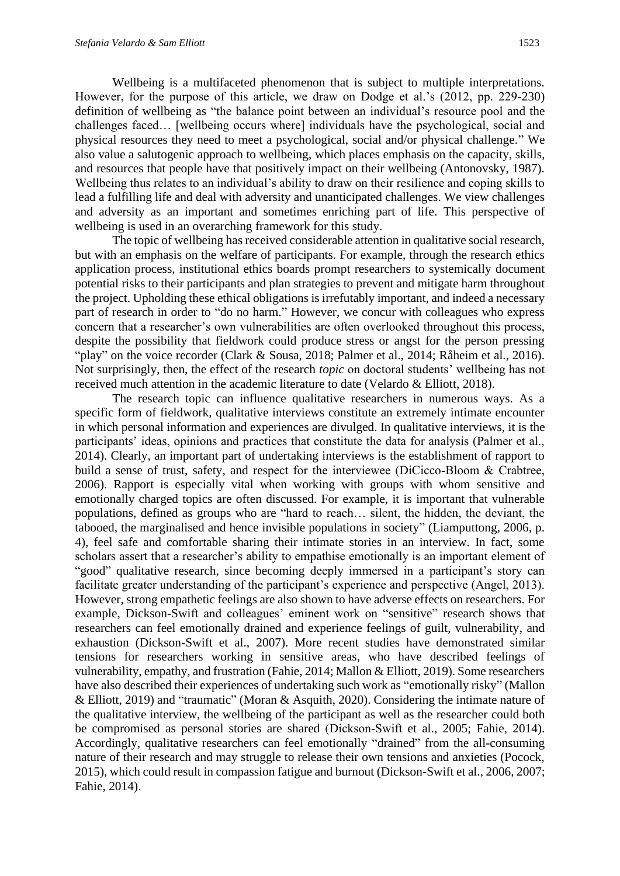Wellbeing is a multifaceted phenomenon that is subject to multiple interpretations. However, for the purpose of this article, we draw on Dodge et al.'s (2012, pp. 229-230) definition of wellbeing as "the balance point between an individual's resource pool and the challenges faced… [wellbeing occurs where] individuals have the psychological, social and physical resources they need to meet a psychological, social and/or physical challenge." We also value a salutogenic approach to wellbeing, which places emphasis on the capacity, skills, and resources that people have that positively impact on their wellbeing (Antonovsky, 1987). Wellbeing thus relates to an individual's ability to draw on their resilience and coping skills to lead a fulfilling life and deal with adversity and unanticipated challenges. We view challenges and adversity as an important and sometimes enriching part of life. This perspective of wellbeing is used in an overarching framework for this study.

The topic of wellbeing has received considerable attention in qualitative social research, but with an emphasis on the welfare of participants. For example, through the research ethics application process, institutional ethics boards prompt researchers to systemically document potential risks to their participants and plan strategies to prevent and mitigate harm throughout the project. Upholding these ethical obligations is irrefutably important, and indeed a necessary part of research in order to "do no harm." However, we concur with colleagues who express concern that a researcher's own vulnerabilities are often overlooked throughout this process, despite the possibility that fieldwork could produce stress or angst for the person pressing "play" on the voice recorder (Clark & Sousa, 2018; Palmer et al., 2014; Råheim et al., 2016). Not surprisingly, then, the effect of the research *topic* on doctoral students' wellbeing has not received much attention in the academic literature to date (Velardo & Elliott, 2018).

The research topic can influence qualitative researchers in numerous ways. As a specific form of fieldwork, qualitative interviews constitute an extremely intimate encounter in which personal information and experiences are divulged. In qualitative interviews, it is the participants' ideas, opinions and practices that constitute the data for analysis (Palmer et al., 2014). Clearly, an important part of undertaking interviews is the establishment of rapport to build a sense of trust, safety, and respect for the interviewee (DiCicco-Bloom & Crabtree, 2006). Rapport is especially vital when working with groups with whom sensitive and emotionally charged topics are often discussed. For example, it is important that vulnerable populations, defined as groups who are "hard to reach… silent, the hidden, the deviant, the tabooed, the marginalised and hence invisible populations in society" (Liamputtong, 2006, p. 4), feel safe and comfortable sharing their intimate stories in an interview. In fact, some scholars assert that a researcher's ability to empathise emotionally is an important element of "good" qualitative research, since becoming deeply immersed in a participant's story can facilitate greater understanding of the participant's experience and perspective (Angel, 2013). However, strong empathetic feelings are also shown to have adverse effects on researchers. For example, Dickson-Swift and colleagues' eminent work on "sensitive" research shows that researchers can feel emotionally drained and experience feelings of guilt, vulnerability, and exhaustion (Dickson-Swift et al., 2007). More recent studies have demonstrated similar tensions for researchers working in sensitive areas, who have described feelings of vulnerability, empathy, and frustration (Fahie, 2014; Mallon & Elliott, 2019). Some researchers have also described their experiences of undertaking such work as "emotionally risky" (Mallon & Elliott, 2019) and "traumatic" (Moran & Asquith, 2020). Considering the intimate nature of the qualitative interview, the wellbeing of the participant as well as the researcher could both be compromised as personal stories are shared (Dickson‐Swift et al., 2005; Fahie, 2014). Accordingly, qualitative researchers can feel emotionally "drained" from the all-consuming nature of their research and may struggle to release their own tensions and anxieties (Pocock, 2015), which could result in compassion fatigue and burnout (Dickson-Swift et al., 2006, 2007; Fahie, 2014).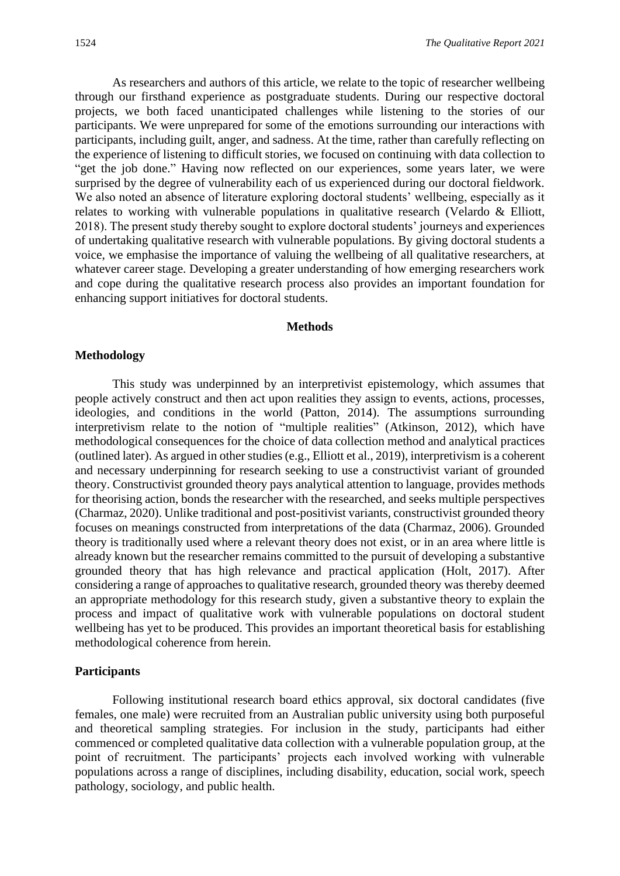As researchers and authors of this article, we relate to the topic of researcher wellbeing through our firsthand experience as postgraduate students. During our respective doctoral projects, we both faced unanticipated challenges while listening to the stories of our participants. We were unprepared for some of the emotions surrounding our interactions with participants, including guilt, anger, and sadness. At the time, rather than carefully reflecting on the experience of listening to difficult stories, we focused on continuing with data collection to "get the job done." Having now reflected on our experiences, some years later, we were surprised by the degree of vulnerability each of us experienced during our doctoral fieldwork. We also noted an absence of literature exploring doctoral students' wellbeing, especially as it relates to working with vulnerable populations in qualitative research (Velardo & Elliott, 2018). The present study thereby sought to explore doctoral students' journeys and experiences of undertaking qualitative research with vulnerable populations. By giving doctoral students a voice, we emphasise the importance of valuing the wellbeing of all qualitative researchers, at whatever career stage. Developing a greater understanding of how emerging researchers work and cope during the qualitative research process also provides an important foundation for enhancing support initiatives for doctoral students.

#### **Methods**

#### **Methodology**

This study was underpinned by an interpretivist epistemology, which assumes that people actively construct and then act upon realities they assign to events, actions, processes, ideologies, and conditions in the world (Patton, 2014). The assumptions surrounding interpretivism relate to the notion of "multiple realities" (Atkinson, 2012), which have methodological consequences for the choice of data collection method and analytical practices (outlined later). As argued in other studies (e.g., Elliott et al., 2019), interpretivism is a coherent and necessary underpinning for research seeking to use a constructivist variant of grounded theory. Constructivist grounded theory pays analytical attention to language, provides methods for theorising action, bonds the researcher with the researched, and seeks multiple perspectives (Charmaz, 2020). Unlike traditional and post-positivist variants, constructivist grounded theory focuses on meanings constructed from interpretations of the data (Charmaz, 2006). Grounded theory is traditionally used where a relevant theory does not exist, or in an area where little is already known but the researcher remains committed to the pursuit of developing a substantive grounded theory that has high relevance and practical application (Holt, 2017). After considering a range of approaches to qualitative research, grounded theory was thereby deemed an appropriate methodology for this research study, given a substantive theory to explain the process and impact of qualitative work with vulnerable populations on doctoral student wellbeing has yet to be produced. This provides an important theoretical basis for establishing methodological coherence from herein.

#### **Participants**

Following institutional research board ethics approval, six doctoral candidates (five females, one male) were recruited from an Australian public university using both purposeful and theoretical sampling strategies. For inclusion in the study, participants had either commenced or completed qualitative data collection with a vulnerable population group, at the point of recruitment. The participants' projects each involved working with vulnerable populations across a range of disciplines, including disability, education, social work, speech pathology, sociology, and public health.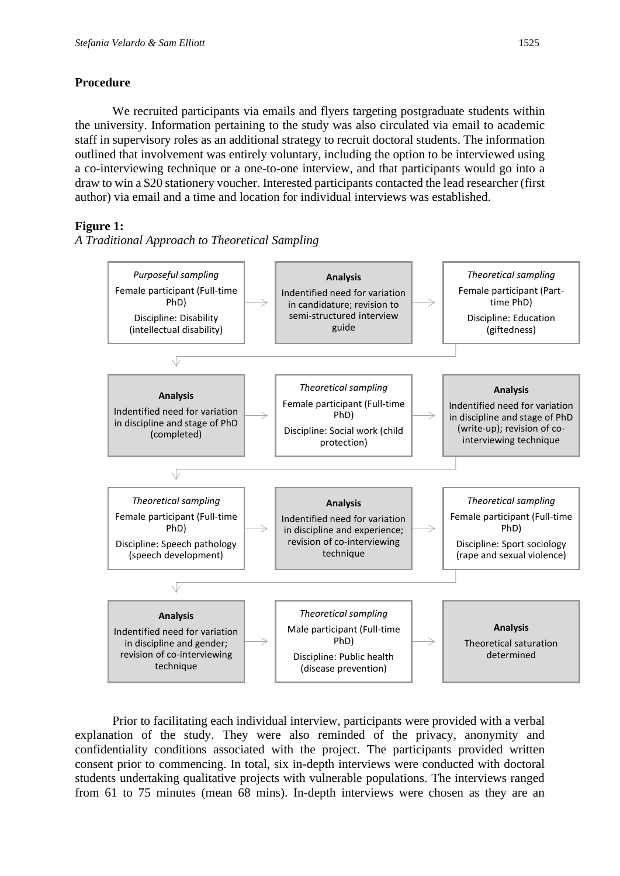# **Procedure**

We recruited participants via emails and flyers targeting postgraduate students within the university. Information pertaining to the study was also circulated via email to academic staff in supervisory roles as an additional strategy to recruit doctoral students. The information outlined that involvement was entirely voluntary, including the option to be interviewed using a co-interviewing technique or a one-to-one interview, and that participants would go into a draw to win a \$20 stationery voucher. Interested participants contacted the lead researcher (first author) via email and a time and location for individual interviews was established.

# **Figure 1:**

*A Traditional Approach to Theoretical Sampling*



Prior to facilitating each individual interview, participants were provided with a verbal explanation of the study. They were also reminded of the privacy, anonymity and confidentiality conditions associated with the project. The participants provided written consent prior to commencing. In total, six in-depth interviews were conducted with doctoral students undertaking qualitative projects with vulnerable populations. The interviews ranged from 61 to 75 minutes (mean 68 mins). In-depth interviews were chosen as they are an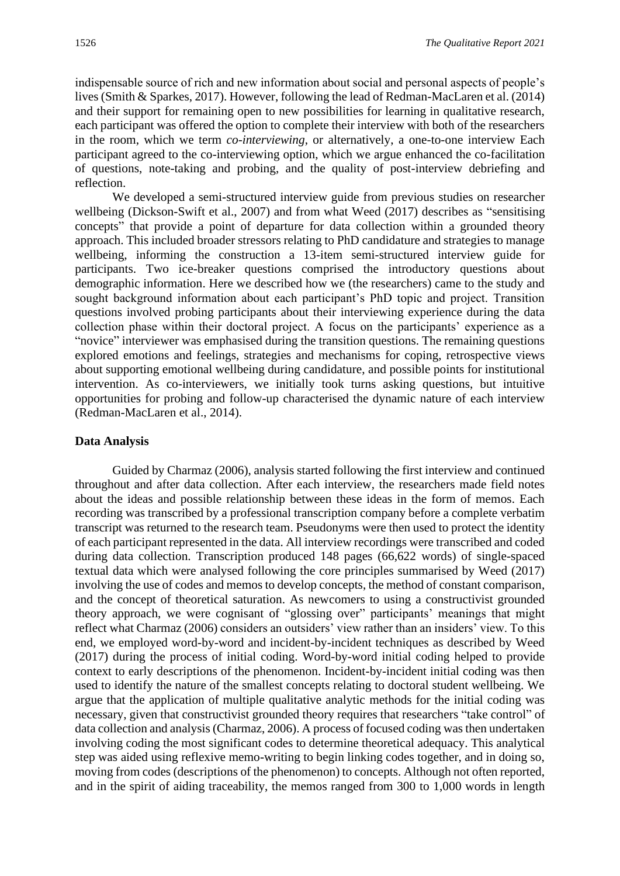indispensable source of rich and new information about social and personal aspects of people's lives (Smith & Sparkes, 2017). However, following the lead of Redman-MacLaren et al. (2014) and their support for remaining open to new possibilities for learning in qualitative research, each participant was offered the option to complete their interview with both of the researchers in the room, which we term *co-interviewing*, or alternatively, a one-to-one interview Each participant agreed to the co-interviewing option, which we argue enhanced the co-facilitation of questions, note-taking and probing, and the quality of post-interview debriefing and reflection.

We developed a semi-structured interview guide from previous studies on researcher wellbeing (Dickson-Swift et al., 2007) and from what Weed (2017) describes as "sensitising concepts" that provide a point of departure for data collection within a grounded theory approach. This included broader stressors relating to PhD candidature and strategies to manage wellbeing, informing the construction a 13-item semi-structured interview guide for participants. Two ice-breaker questions comprised the introductory questions about demographic information. Here we described how we (the researchers) came to the study and sought background information about each participant's PhD topic and project. Transition questions involved probing participants about their interviewing experience during the data collection phase within their doctoral project. A focus on the participants' experience as a "novice" interviewer was emphasised during the transition questions. The remaining questions explored emotions and feelings, strategies and mechanisms for coping, retrospective views about supporting emotional wellbeing during candidature, and possible points for institutional intervention. As co-interviewers, we initially took turns asking questions, but intuitive opportunities for probing and follow-up characterised the dynamic nature of each interview (Redman-MacLaren et al., 2014).

#### **Data Analysis**

Guided by Charmaz (2006), analysis started following the first interview and continued throughout and after data collection. After each interview, the researchers made field notes about the ideas and possible relationship between these ideas in the form of memos. Each recording was transcribed by a professional transcription company before a complete verbatim transcript was returned to the research team. Pseudonyms were then used to protect the identity of each participant represented in the data. All interview recordings were transcribed and coded during data collection. Transcription produced 148 pages (66,622 words) of single-spaced textual data which were analysed following the core principles summarised by Weed (2017) involving the use of codes and memos to develop concepts, the method of constant comparison, and the concept of theoretical saturation. As newcomers to using a constructivist grounded theory approach, we were cognisant of "glossing over" participants' meanings that might reflect what Charmaz (2006) considers an outsiders' view rather than an insiders' view. To this end, we employed word-by-word and incident-by-incident techniques as described by Weed (2017) during the process of initial coding. Word-by-word initial coding helped to provide context to early descriptions of the phenomenon. Incident-by-incident initial coding was then used to identify the nature of the smallest concepts relating to doctoral student wellbeing. We argue that the application of multiple qualitative analytic methods for the initial coding was necessary, given that constructivist grounded theory requires that researchers "take control" of data collection and analysis (Charmaz, 2006). A process of focused coding was then undertaken involving coding the most significant codes to determine theoretical adequacy. This analytical step was aided using reflexive memo-writing to begin linking codes together, and in doing so, moving from codes (descriptions of the phenomenon) to concepts. Although not often reported, and in the spirit of aiding traceability, the memos ranged from 300 to 1,000 words in length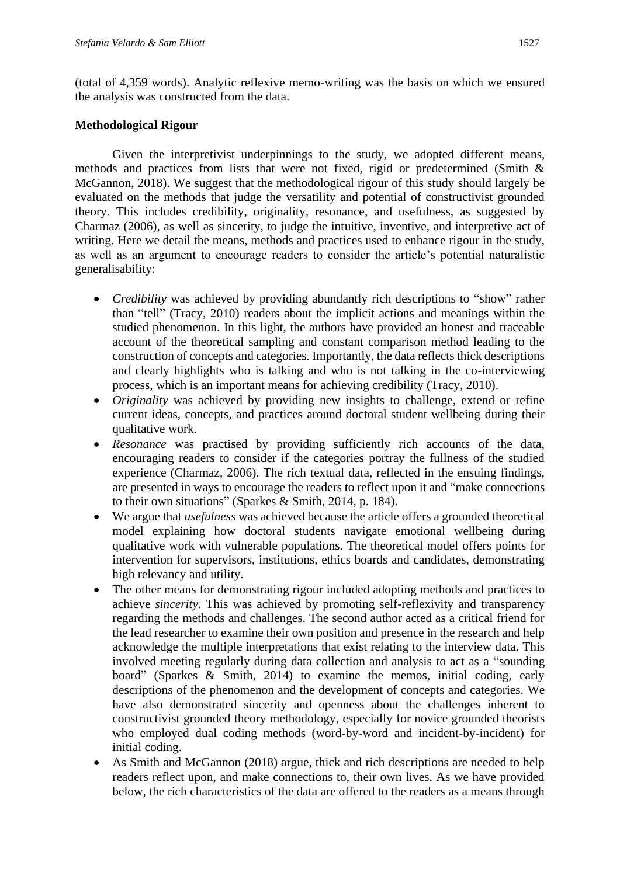(total of 4,359 words). Analytic reflexive memo-writing was the basis on which we ensured the analysis was constructed from the data.

### **Methodological Rigour**

Given the interpretivist underpinnings to the study, we adopted different means, methods and practices from lists that were not fixed, rigid or predetermined (Smith & McGannon, 2018). We suggest that the methodological rigour of this study should largely be evaluated on the methods that judge the versatility and potential of constructivist grounded theory. This includes credibility, originality, resonance, and usefulness, as suggested by Charmaz (2006), as well as sincerity, to judge the intuitive, inventive, and interpretive act of writing. Here we detail the means, methods and practices used to enhance rigour in the study, as well as an argument to encourage readers to consider the article's potential naturalistic generalisability:

- *Credibility* was achieved by providing abundantly rich descriptions to "show" rather than "tell" (Tracy, 2010) readers about the implicit actions and meanings within the studied phenomenon. In this light, the authors have provided an honest and traceable account of the theoretical sampling and constant comparison method leading to the construction of concepts and categories. Importantly, the data reflects thick descriptions and clearly highlights who is talking and who is not talking in the co-interviewing process, which is an important means for achieving credibility (Tracy, 2010).
- *Originality* was achieved by providing new insights to challenge, extend or refine current ideas, concepts, and practices around doctoral student wellbeing during their qualitative work.
- *Resonance* was practised by providing sufficiently rich accounts of the data, encouraging readers to consider if the categories portray the fullness of the studied experience (Charmaz, 2006). The rich textual data, reflected in the ensuing findings, are presented in ways to encourage the readers to reflect upon it and "make connections to their own situations" (Sparkes & Smith, 2014, p. 184).
- We argue that *usefulness* was achieved because the article offers a grounded theoretical model explaining how doctoral students navigate emotional wellbeing during qualitative work with vulnerable populations. The theoretical model offers points for intervention for supervisors, institutions, ethics boards and candidates, demonstrating high relevancy and utility.
- The other means for demonstrating rigour included adopting methods and practices to achieve *sincerity*. This was achieved by promoting self-reflexivity and transparency regarding the methods and challenges. The second author acted as a critical friend for the lead researcher to examine their own position and presence in the research and help acknowledge the multiple interpretations that exist relating to the interview data. This involved meeting regularly during data collection and analysis to act as a "sounding board" (Sparkes & Smith, 2014) to examine the memos, initial coding, early descriptions of the phenomenon and the development of concepts and categories. We have also demonstrated sincerity and openness about the challenges inherent to constructivist grounded theory methodology, especially for novice grounded theorists who employed dual coding methods (word-by-word and incident-by-incident) for initial coding.
- As Smith and McGannon (2018) argue, thick and rich descriptions are needed to help readers reflect upon, and make connections to, their own lives. As we have provided below, the rich characteristics of the data are offered to the readers as a means through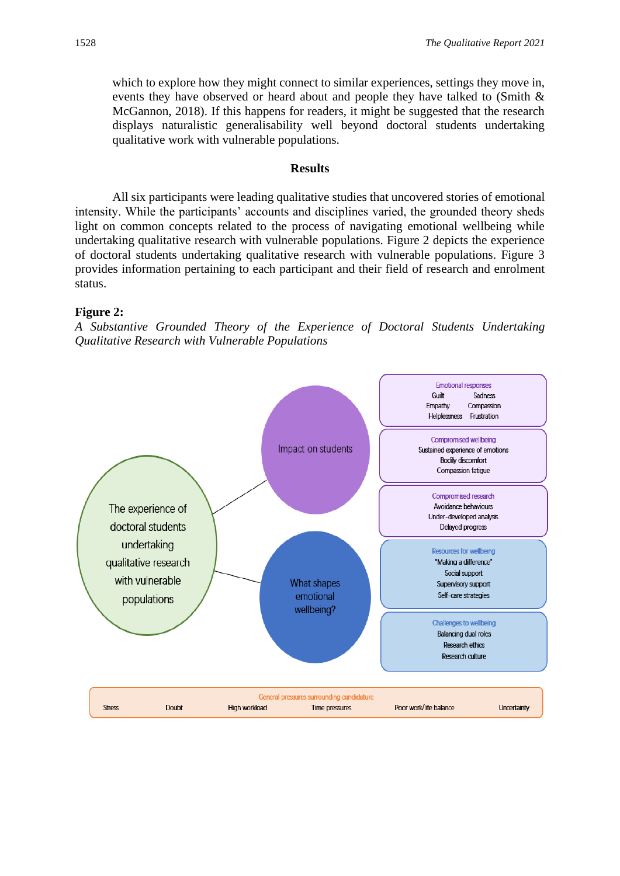which to explore how they might connect to similar experiences, settings they move in, events they have observed or heard about and people they have talked to (Smith & McGannon, 2018). If this happens for readers, it might be suggested that the research displays naturalistic generalisability well beyond doctoral students undertaking qualitative work with vulnerable populations.

#### **Results**

All six participants were leading qualitative studies that uncovered stories of emotional intensity. While the participants' accounts and disciplines varied, the grounded theory sheds light on common concepts related to the process of navigating emotional wellbeing while undertaking qualitative research with vulnerable populations. Figure 2 depicts the experience of doctoral students undertaking qualitative research with vulnerable populations. Figure 3 provides information pertaining to each participant and their field of research and enrolment status.

#### **Figure 2:**

*A Substantive Grounded Theory of the Experience of Doctoral Students Undertaking Qualitative Research with Vulnerable Populations*

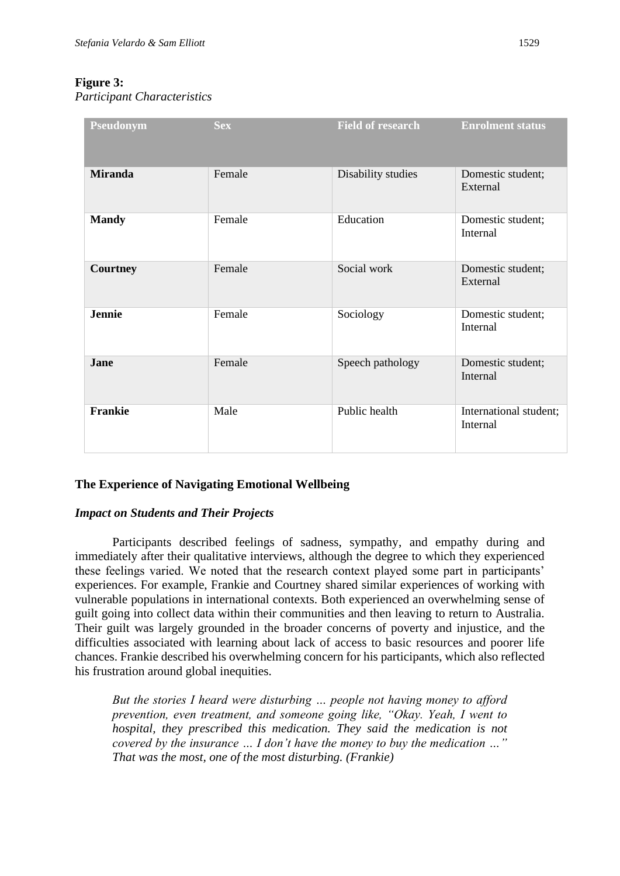# **Figure 3:**

*Participant Characteristics* 

| Pseudonym      | <b>Sex</b> | <b>Field of research</b> | <b>Enrolment status</b>            |
|----------------|------------|--------------------------|------------------------------------|
| <b>Miranda</b> | Female     | Disability studies       | Domestic student;<br>External      |
| <b>Mandy</b>   | Female     | Education                | Domestic student;<br>Internal      |
| Courtney       | Female     | Social work              | Domestic student;<br>External      |
| Jennie         | Female     | Sociology                | Domestic student;<br>Internal      |
| Jane           | Female     | Speech pathology         | Domestic student;<br>Internal      |
| Frankie        | Male       | Public health            | International student;<br>Internal |

# **The Experience of Navigating Emotional Wellbeing**

### *Impact on Students and Their Projects*

Participants described feelings of sadness, sympathy, and empathy during and immediately after their qualitative interviews, although the degree to which they experienced these feelings varied. We noted that the research context played some part in participants' experiences. For example, Frankie and Courtney shared similar experiences of working with vulnerable populations in international contexts. Both experienced an overwhelming sense of guilt going into collect data within their communities and then leaving to return to Australia. Their guilt was largely grounded in the broader concerns of poverty and injustice, and the difficulties associated with learning about lack of access to basic resources and poorer life chances. Frankie described his overwhelming concern for his participants, which also reflected his frustration around global inequities.

*But the stories I heard were disturbing … people not having money to afford prevention, even treatment, and someone going like, "Okay. Yeah, I went to hospital, they prescribed this medication. They said the medication is not covered by the insurance … I don't have the money to buy the medication …" That was the most, one of the most disturbing. (Frankie)*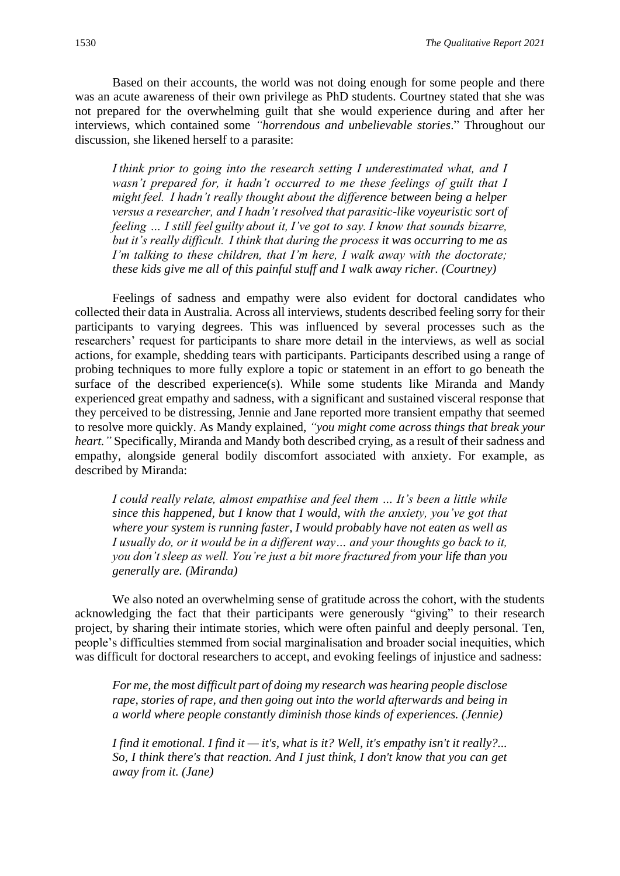Based on their accounts, the world was not doing enough for some people and there was an acute awareness of their own privilege as PhD students. Courtney stated that she was not prepared for the overwhelming guilt that she would experience during and after her interviews, which contained some *"horrendous and unbelievable stories*." Throughout our discussion, she likened herself to a parasite:

*I think prior to going into the research setting I underestimated what, and I wasn't prepared for, it hadn't occurred to me these feelings of guilt that I might feel.  I hadn't really thought about the difference between being a helper versus a researcher, and I hadn't resolved that parasitic-like voyeuristic sort of feeling … I still feel guilty about it, I've got to say. I know that sounds bizarre, but it's really difficult.  I think that during the process it was occurring to me as I'm talking to these children, that I'm here, I walk away with the doctorate; these kids give me all of this painful stuff and I walk away richer. (Courtney)*

Feelings of sadness and empathy were also evident for doctoral candidates who collected their data in Australia. Across all interviews, students described feeling sorry for their participants to varying degrees. This was influenced by several processes such as the researchers' request for participants to share more detail in the interviews, as well as social actions, for example, shedding tears with participants. Participants described using a range of probing techniques to more fully explore a topic or statement in an effort to go beneath the surface of the described experience(s). While some students like Miranda and Mandy experienced great empathy and sadness, with a significant and sustained visceral response that they perceived to be distressing, Jennie and Jane reported more transient empathy that seemed to resolve more quickly. As Mandy explained, *"you might come across things that break your heart."* Specifically, Miranda and Mandy both described crying, as a result of their sadness and empathy, alongside general bodily discomfort associated with anxiety. For example, as described by Miranda:

*I could really relate, almost empathise and feel them … It's been a little while since this happened, but I know that I would, with the anxiety, you've got that where your system is running faster, I would probably have not eaten as well as I usually do, or it would be in a different way… and your thoughts go back to it, you don't sleep as well. You're just a bit more fractured from your life than you generally are. (Miranda)*

We also noted an overwhelming sense of gratitude across the cohort, with the students acknowledging the fact that their participants were generously "giving" to their research project, by sharing their intimate stories, which were often painful and deeply personal. Ten, people's difficulties stemmed from social marginalisation and broader social inequities, which was difficult for doctoral researchers to accept, and evoking feelings of injustice and sadness:

*For me, the most difficult part of doing my research was hearing people disclose rape, stories of rape, and then going out into the world afterwards and being in a world where people constantly diminish those kinds of experiences. (Jennie)*

*I find it emotional. I find it — it's, what is it? Well, it's empathy isn't it really?... So, I think there's that reaction. And I just think, I don't know that you can get away from it. (Jane)*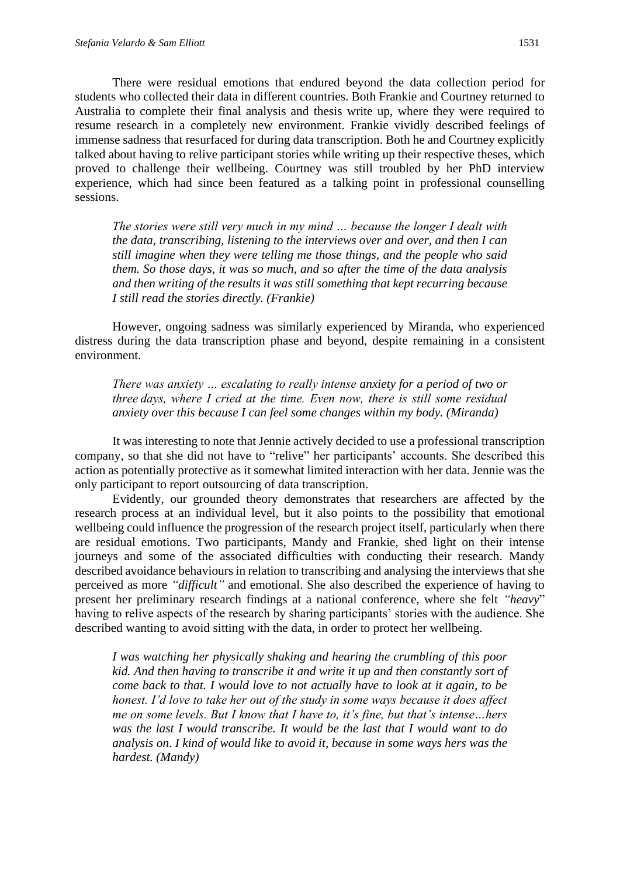There were residual emotions that endured beyond the data collection period for students who collected their data in different countries. Both Frankie and Courtney returned to Australia to complete their final analysis and thesis write up, where they were required to resume research in a completely new environment. Frankie vividly described feelings of immense sadness that resurfaced for during data transcription. Both he and Courtney explicitly talked about having to relive participant stories while writing up their respective theses, which proved to challenge their wellbeing. Courtney was still troubled by her PhD interview experience, which had since been featured as a talking point in professional counselling sessions.

*The stories were still very much in my mind … because the longer I dealt with the data, transcribing, listening to the interviews over and over, and then I can still imagine when they were telling me those things, and the people who said them. So those days, it was so much, and so after the time of the data analysis and then writing of the results it was still something that kept recurring because I still read the stories directly. (Frankie)*

However, ongoing sadness was similarly experienced by Miranda, who experienced distress during the data transcription phase and beyond, despite remaining in a consistent environment.

*There was anxiety … escalating to really intense anxiety for a period of two or three days, where I cried at the time. Even now, there is still some residual anxiety over this because I can feel some changes within my body. (Miranda)*

It was interesting to note that Jennie actively decided to use a professional transcription company, so that she did not have to "relive" her participants' accounts. She described this action as potentially protective as it somewhat limited interaction with her data. Jennie was the only participant to report outsourcing of data transcription.

Evidently, our grounded theory demonstrates that researchers are affected by the research process at an individual level, but it also points to the possibility that emotional wellbeing could influence the progression of the research project itself, particularly when there are residual emotions. Two participants, Mandy and Frankie, shed light on their intense journeys and some of the associated difficulties with conducting their research. Mandy described avoidance behaviours in relation to transcribing and analysing the interviews that she perceived as more *"difficult"* and emotional. She also described the experience of having to present her preliminary research findings at a national conference, where she felt *"heavy*" having to relive aspects of the research by sharing participants' stories with the audience. She described wanting to avoid sitting with the data, in order to protect her wellbeing.

*I was watching her physically shaking and hearing the crumbling of this poor kid. And then having to transcribe it and write it up and then constantly sort of come back to that. I would love to not actually have to look at it again, to be honest. I'd love to take her out of the study in some ways because it does affect me on some levels. But I know that I have to, it's fine, but that's intense…hers was the last I would transcribe. It would be the last that I would want to do analysis on. I kind of would like to avoid it, because in some ways hers was the hardest. (Mandy)*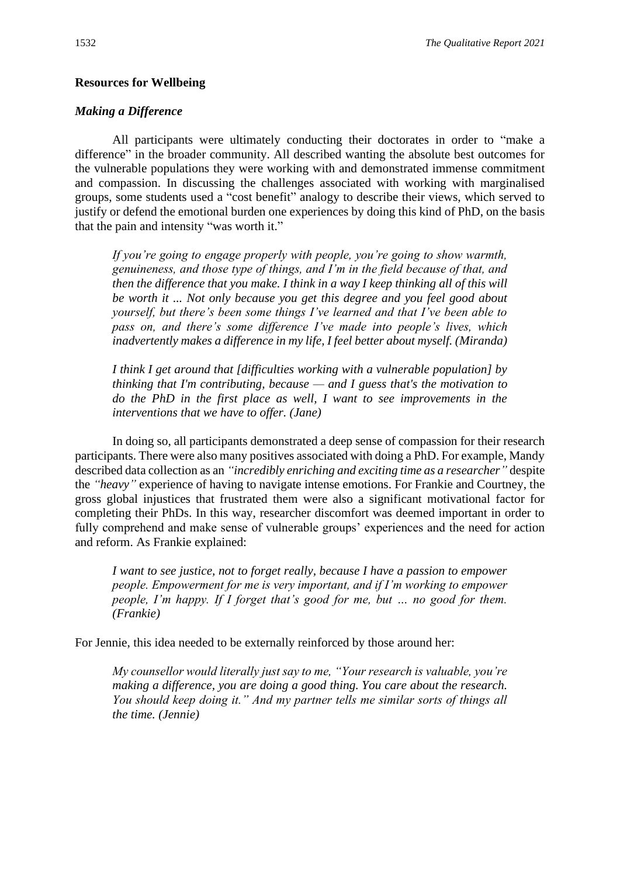#### **Resources for Wellbeing**

#### *Making a Difference*

All participants were ultimately conducting their doctorates in order to "make a difference" in the broader community. All described wanting the absolute best outcomes for the vulnerable populations they were working with and demonstrated immense commitment and compassion. In discussing the challenges associated with working with marginalised groups, some students used a "cost benefit" analogy to describe their views, which served to justify or defend the emotional burden one experiences by doing this kind of PhD, on the basis that the pain and intensity "was worth it."

*If you're going to engage properly with people, you're going to show warmth, genuineness, and those type of things, and I'm in the field because of that, and then the difference that you make. I think in a way I keep thinking all of this will be worth it ... Not only because you get this degree and you feel good about yourself, but there's been some things I've learned and that I've been able to pass on, and there's some difference I've made into people's lives, which inadvertently makes a difference in my life, I feel better about myself. (Miranda)*

*I think I get around that [difficulties working with a vulnerable population] by thinking that I'm contributing, because — and I guess that's the motivation to do the PhD in the first place as well, I want to see improvements in the interventions that we have to offer. (Jane)*

In doing so, all participants demonstrated a deep sense of compassion for their research participants. There were also many positives associated with doing a PhD. For example, Mandy described data collection as an *"incredibly enriching and exciting time as a researcher"* despite the *"heavy"* experience of having to navigate intense emotions. For Frankie and Courtney, the gross global injustices that frustrated them were also a significant motivational factor for completing their PhDs. In this way, researcher discomfort was deemed important in order to fully comprehend and make sense of vulnerable groups' experiences and the need for action and reform. As Frankie explained:

*I want to see justice, not to forget really, because I have a passion to empower people. Empowerment for me is very important, and if I'm working to empower people, I'm happy. If I forget that's good for me, but ... no good for them. (Frankie)*

For Jennie, this idea needed to be externally reinforced by those around her:

*My counsellor would literally just say to me, "Your research is valuable, you're making a difference, you are doing a good thing. You care about the research. You should keep doing it." And my partner tells me similar sorts of things all the time. (Jennie)*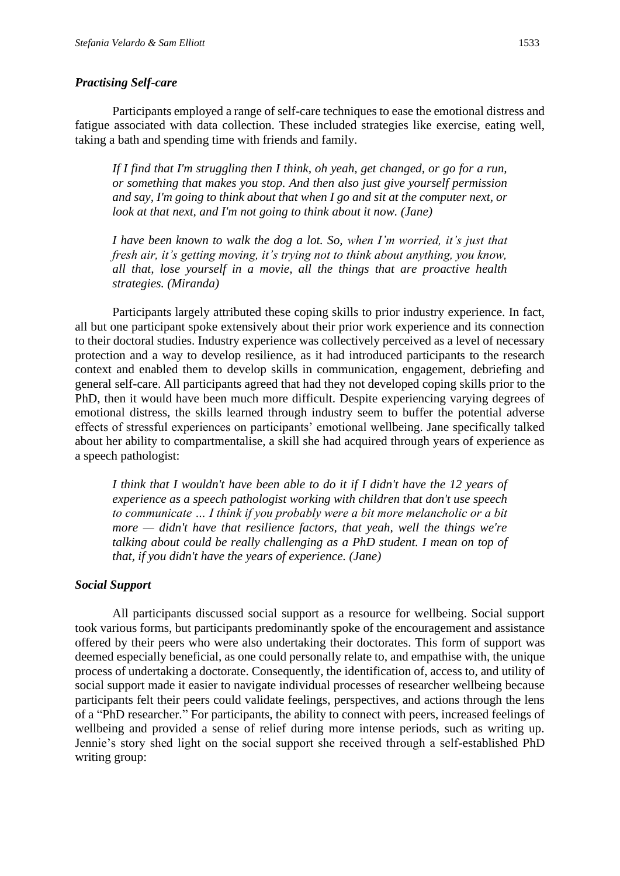#### *Practising Self-care*

Participants employed a range of self-care techniques to ease the emotional distress and fatigue associated with data collection. These included strategies like exercise, eating well, taking a bath and spending time with friends and family.

*If I find that I'm struggling then I think, oh yeah, get changed, or go for a run, or something that makes you stop. And then also just give yourself permission and say, I'm going to think about that when I go and sit at the computer next, or look at that next, and I'm not going to think about it now. (Jane)*

*I have been known to walk the dog a lot. So, when I'm worried, it's just that fresh air, it's getting moving, it's trying not to think about anything, you know, all that, lose yourself in a movie, all the things that are proactive health strategies. (Miranda)*

Participants largely attributed these coping skills to prior industry experience. In fact, all but one participant spoke extensively about their prior work experience and its connection to their doctoral studies. Industry experience was collectively perceived as a level of necessary protection and a way to develop resilience, as it had introduced participants to the research context and enabled them to develop skills in communication, engagement, debriefing and general self-care. All participants agreed that had they not developed coping skills prior to the PhD, then it would have been much more difficult. Despite experiencing varying degrees of emotional distress, the skills learned through industry seem to buffer the potential adverse effects of stressful experiences on participants' emotional wellbeing. Jane specifically talked about her ability to compartmentalise, a skill she had acquired through years of experience as a speech pathologist:

*I think that I wouldn't have been able to do it if I didn't have the 12 years of experience as a speech pathologist working with children that don't use speech to communicate … I think if you probably were a bit more melancholic or a bit more — didn't have that resilience factors, that yeah, well the things we're talking about could be really challenging as a PhD student. I mean on top of that, if you didn't have the years of experience. (Jane)*

#### *Social Support*

All participants discussed social support as a resource for wellbeing. Social support took various forms, but participants predominantly spoke of the encouragement and assistance offered by their peers who were also undertaking their doctorates. This form of support was deemed especially beneficial, as one could personally relate to, and empathise with, the unique process of undertaking a doctorate. Consequently, the identification of, access to, and utility of social support made it easier to navigate individual processes of researcher wellbeing because participants felt their peers could validate feelings, perspectives, and actions through the lens of a "PhD researcher." For participants, the ability to connect with peers, increased feelings of wellbeing and provided a sense of relief during more intense periods, such as writing up. Jennie's story shed light on the social support she received through a self-established PhD writing group: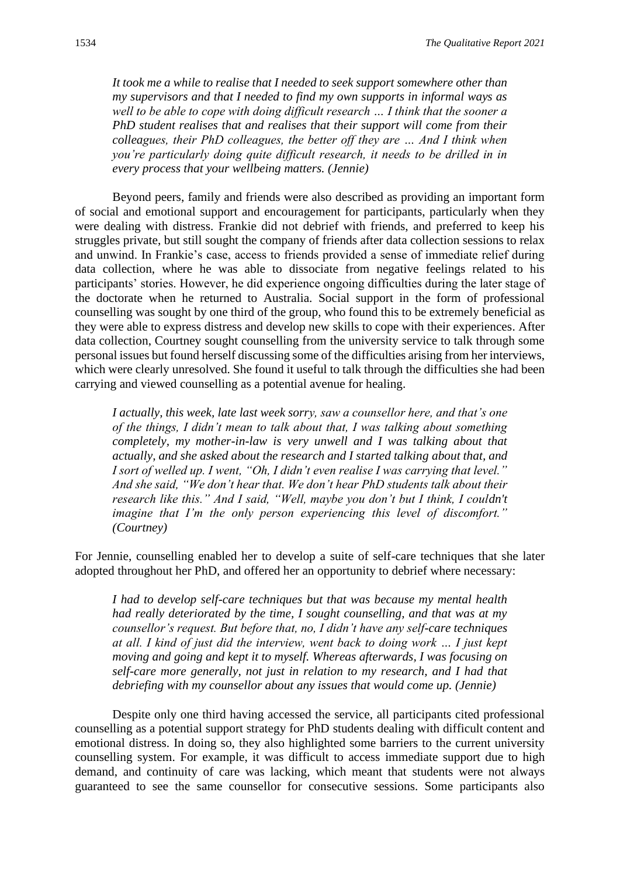*It took me a while to realise that I needed to seek support somewhere other than my supervisors and that I needed to find my own supports in informal ways as well to be able to cope with doing difficult research … I think that the sooner a PhD student realises that and realises that their support will come from their colleagues, their PhD colleagues, the better off they are … And I think when you're particularly doing quite difficult research, it needs to be drilled in in every process that your wellbeing matters. (Jennie)*

Beyond peers, family and friends were also described as providing an important form of social and emotional support and encouragement for participants, particularly when they were dealing with distress. Frankie did not debrief with friends, and preferred to keep his struggles private, but still sought the company of friends after data collection sessions to relax and unwind. In Frankie's case, access to friends provided a sense of immediate relief during data collection, where he was able to dissociate from negative feelings related to his participants' stories. However, he did experience ongoing difficulties during the later stage of the doctorate when he returned to Australia. Social support in the form of professional counselling was sought by one third of the group, who found this to be extremely beneficial as they were able to express distress and develop new skills to cope with their experiences. After data collection, Courtney sought counselling from the university service to talk through some personal issues but found herself discussing some of the difficulties arising from her interviews, which were clearly unresolved. She found it useful to talk through the difficulties she had been carrying and viewed counselling as a potential avenue for healing.

*I actually, this week, late last week sorry, saw a counsellor here, and that's one of the things, I didn't mean to talk about that, I was talking about something completely, my mother-in-law is very unwell and I was talking about that actually, and she asked about the research and I started talking about that, and I sort of welled up. I went, "Oh, I didn't even realise I was carrying that level." And she said, "We don't hear that. We don't hear PhD students talk about their research like this." And I said, "Well, maybe you don't but I think, I couldn't imagine that I'm the only person experiencing this level of discomfort." (Courtney)*

For Jennie, counselling enabled her to develop a suite of self-care techniques that she later adopted throughout her PhD, and offered her an opportunity to debrief where necessary:

*I had to develop self-care techniques but that was because my mental health had really deteriorated by the time, I sought counselling, and that was at my counsellor's request. But before that, no, I didn't have any self-care techniques at all. I kind of just did the interview, went back to doing work … I just kept moving and going and kept it to myself. Whereas afterwards, I was focusing on self-care more generally, not just in relation to my research, and I had that debriefing with my counsellor about any issues that would come up. (Jennie)*

Despite only one third having accessed the service, all participants cited professional counselling as a potential support strategy for PhD students dealing with difficult content and emotional distress. In doing so, they also highlighted some barriers to the current university counselling system. For example, it was difficult to access immediate support due to high demand, and continuity of care was lacking, which meant that students were not always guaranteed to see the same counsellor for consecutive sessions. Some participants also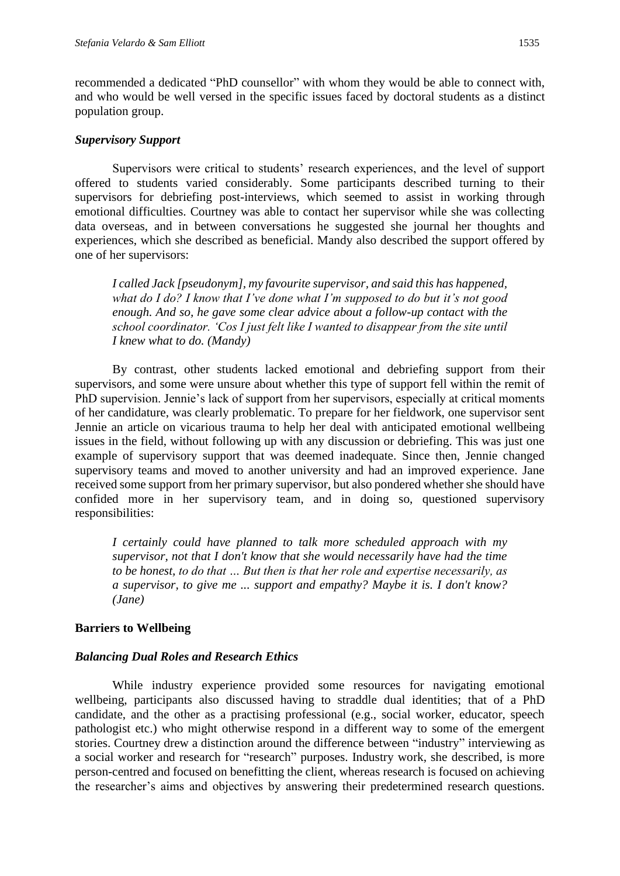recommended a dedicated "PhD counsellor" with whom they would be able to connect with, and who would be well versed in the specific issues faced by doctoral students as a distinct population group.

#### *Supervisory Support*

Supervisors were critical to students' research experiences, and the level of support offered to students varied considerably. Some participants described turning to their supervisors for debriefing post-interviews, which seemed to assist in working through emotional difficulties. Courtney was able to contact her supervisor while she was collecting data overseas, and in between conversations he suggested she journal her thoughts and experiences, which she described as beneficial. Mandy also described the support offered by one of her supervisors:

*I called Jack [pseudonym], my favourite supervisor, and said this has happened, what do I do? I know that I've done what I'm supposed to do but it's not good enough. And so, he gave some clear advice about a follow-up contact with the school coordinator. 'Cos I just felt like I wanted to disappear from the site until I knew what to do. (Mandy)*

By contrast, other students lacked emotional and debriefing support from their supervisors, and some were unsure about whether this type of support fell within the remit of PhD supervision. Jennie's lack of support from her supervisors, especially at critical moments of her candidature, was clearly problematic. To prepare for her fieldwork, one supervisor sent Jennie an article on vicarious trauma to help her deal with anticipated emotional wellbeing issues in the field, without following up with any discussion or debriefing. This was just one example of supervisory support that was deemed inadequate. Since then, Jennie changed supervisory teams and moved to another university and had an improved experience. Jane received some support from her primary supervisor, but also pondered whether she should have confided more in her supervisory team, and in doing so, questioned supervisory responsibilities:

*I certainly could have planned to talk more scheduled approach with my supervisor, not that I don't know that she would necessarily have had the time to be honest, to do that … But then is that her role and expertise necessarily, as a supervisor, to give me ... support and empathy? Maybe it is. I don't know? (Jane)*

#### **Barriers to Wellbeing**

#### *Balancing Dual Roles and Research Ethics*

While industry experience provided some resources for navigating emotional wellbeing, participants also discussed having to straddle dual identities; that of a PhD candidate, and the other as a practising professional (e.g., social worker, educator, speech pathologist etc.) who might otherwise respond in a different way to some of the emergent stories. Courtney drew a distinction around the difference between "industry" interviewing as a social worker and research for "research" purposes. Industry work, she described, is more person-centred and focused on benefitting the client, whereas research is focused on achieving the researcher's aims and objectives by answering their predetermined research questions.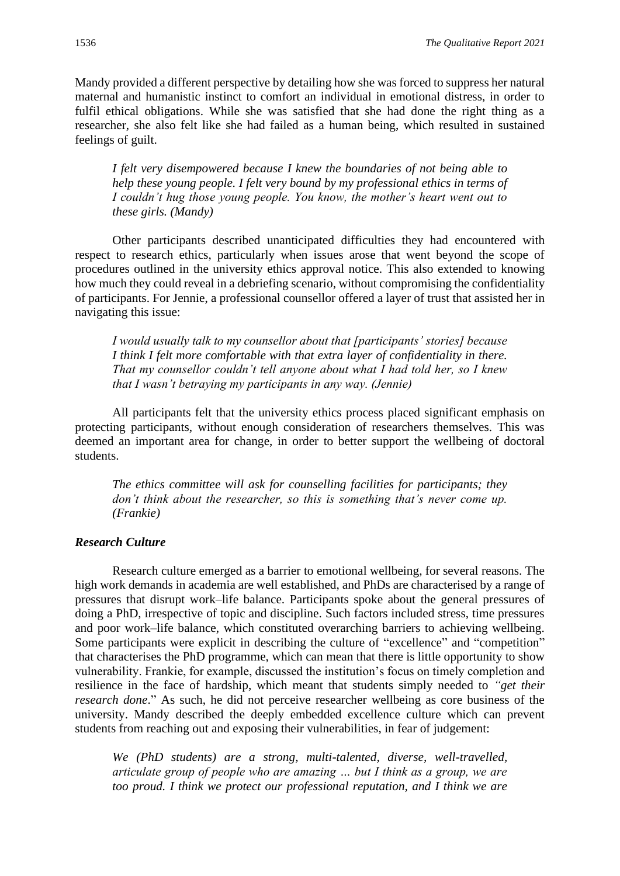Mandy provided a different perspective by detailing how she was forced to suppress her natural maternal and humanistic instinct to comfort an individual in emotional distress, in order to fulfil ethical obligations. While she was satisfied that she had done the right thing as a researcher, she also felt like she had failed as a human being, which resulted in sustained feelings of guilt.

*I felt very disempowered because I knew the boundaries of not being able to help these young people. I felt very bound by my professional ethics in terms of I couldn't hug those young people. You know, the mother's heart went out to these girls. (Mandy)*

Other participants described unanticipated difficulties they had encountered with respect to research ethics, particularly when issues arose that went beyond the scope of procedures outlined in the university ethics approval notice. This also extended to knowing how much they could reveal in a debriefing scenario, without compromising the confidentiality of participants. For Jennie, a professional counsellor offered a layer of trust that assisted her in navigating this issue:

*I would usually talk to my counsellor about that [participants' stories] because I think I felt more comfortable with that extra layer of confidentiality in there. That my counsellor couldn't tell anyone about what I had told her, so I knew that I wasn't betraying my participants in any way. (Jennie)*

All participants felt that the university ethics process placed significant emphasis on protecting participants, without enough consideration of researchers themselves. This was deemed an important area for change, in order to better support the wellbeing of doctoral students.

*The ethics committee will ask for counselling facilities for participants; they don't think about the researcher, so this is something that's never come up. (Frankie)*

### *Research Culture*

Research culture emerged as a barrier to emotional wellbeing, for several reasons. The high work demands in academia are well established, and PhDs are characterised by a range of pressures that disrupt work–life balance. Participants spoke about the general pressures of doing a PhD, irrespective of topic and discipline. Such factors included stress, time pressures and poor work–life balance, which constituted overarching barriers to achieving wellbeing. Some participants were explicit in describing the culture of "excellence" and "competition" that characterises the PhD programme, which can mean that there is little opportunity to show vulnerability. Frankie, for example, discussed the institution's focus on timely completion and resilience in the face of hardship, which meant that students simply needed to *"get their research done*." As such, he did not perceive researcher wellbeing as core business of the university. Mandy described the deeply embedded excellence culture which can prevent students from reaching out and exposing their vulnerabilities, in fear of judgement:

*We (PhD students) are a strong, multi-talented, diverse, well-travelled, articulate group of people who are amazing … but I think as a group, we are too proud. I think we protect our professional reputation, and I think we are*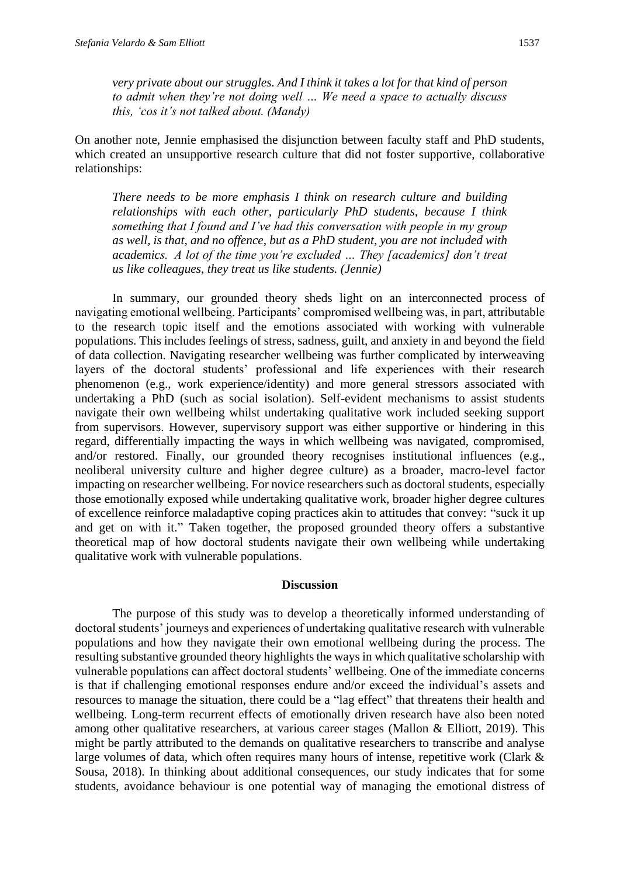*very private about our struggles. And I think it takes a lot for that kind of person to admit when they're not doing well … We need a space to actually discuss this, 'cos it's not talked about. (Mandy)*

On another note, Jennie emphasised the disjunction between faculty staff and PhD students, which created an unsupportive research culture that did not foster supportive, collaborative relationships:

*There needs to be more emphasis I think on research culture and building relationships with each other, particularly PhD students, because I think something that I found and I've had this conversation with people in my group as well, is that, and no offence, but as a PhD student, you are not included with academics.  A lot of the time you're excluded … They [academics] don't treat us like colleagues, they treat us like students. (Jennie)*

In summary, our grounded theory sheds light on an interconnected process of navigating emotional wellbeing. Participants' compromised wellbeing was, in part, attributable to the research topic itself and the emotions associated with working with vulnerable populations. This includes feelings of stress, sadness, guilt, and anxiety in and beyond the field of data collection. Navigating researcher wellbeing was further complicated by interweaving layers of the doctoral students' professional and life experiences with their research phenomenon (e.g., work experience/identity) and more general stressors associated with undertaking a PhD (such as social isolation). Self-evident mechanisms to assist students navigate their own wellbeing whilst undertaking qualitative work included seeking support from supervisors. However, supervisory support was either supportive or hindering in this regard, differentially impacting the ways in which wellbeing was navigated, compromised, and/or restored. Finally, our grounded theory recognises institutional influences (e.g., neoliberal university culture and higher degree culture) as a broader, macro-level factor impacting on researcher wellbeing. For novice researchers such as doctoral students, especially those emotionally exposed while undertaking qualitative work, broader higher degree cultures of excellence reinforce maladaptive coping practices akin to attitudes that convey: "suck it up and get on with it." Taken together, the proposed grounded theory offers a substantive theoretical map of how doctoral students navigate their own wellbeing while undertaking qualitative work with vulnerable populations.

#### **Discussion**

The purpose of this study was to develop a theoretically informed understanding of doctoral students' journeys and experiences of undertaking qualitative research with vulnerable populations and how they navigate their own emotional wellbeing during the process. The resulting substantive grounded theory highlights the ways in which qualitative scholarship with vulnerable populations can affect doctoral students' wellbeing. One of the immediate concerns is that if challenging emotional responses endure and/or exceed the individual's assets and resources to manage the situation, there could be a "lag effect" that threatens their health and wellbeing. Long-term recurrent effects of emotionally driven research have also been noted among other qualitative researchers, at various career stages (Mallon & Elliott, 2019). This might be partly attributed to the demands on qualitative researchers to transcribe and analyse large volumes of data, which often requires many hours of intense, repetitive work (Clark & Sousa, 2018). In thinking about additional consequences, our study indicates that for some students, avoidance behaviour is one potential way of managing the emotional distress of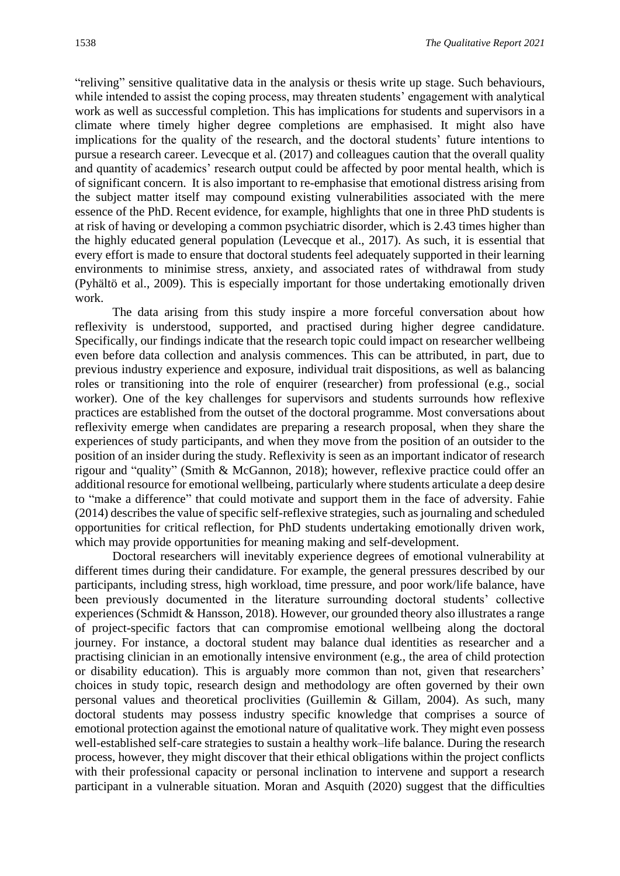"reliving" sensitive qualitative data in the analysis or thesis write up stage. Such behaviours, while intended to assist the coping process, may threaten students' engagement with analytical work as well as successful completion. This has implications for students and supervisors in a climate where timely higher degree completions are emphasised. It might also have implications for the quality of the research, and the doctoral students' future intentions to pursue a research career. Levecque et al. (2017) and colleagues caution that the overall quality and quantity of academics' research output could be affected by poor mental health, which is of significant concern. It is also important to re-emphasise that emotional distress arising from the subject matter itself may compound existing vulnerabilities associated with the mere essence of the PhD. Recent evidence, for example, highlights that one in three PhD students is at risk of having or developing a common psychiatric disorder, which is 2.43 times higher than the highly educated general population (Levecque et al., 2017). As such, it is essential that every effort is made to ensure that doctoral students feel adequately supported in their learning environments to minimise stress, anxiety, and associated rates of withdrawal from study (Pyhältö et al., 2009). This is especially important for those undertaking emotionally driven work.

The data arising from this study inspire a more forceful conversation about how reflexivity is understood, supported, and practised during higher degree candidature. Specifically, our findings indicate that the research topic could impact on researcher wellbeing even before data collection and analysis commences. This can be attributed, in part, due to previous industry experience and exposure, individual trait dispositions, as well as balancing roles or transitioning into the role of enquirer (researcher) from professional (e.g., social worker). One of the key challenges for supervisors and students surrounds how reflexive practices are established from the outset of the doctoral programme. Most conversations about reflexivity emerge when candidates are preparing a research proposal, when they share the experiences of study participants, and when they move from the position of an outsider to the position of an insider during the study. Reflexivity is seen as an important indicator of research rigour and "quality" (Smith & McGannon, 2018); however, reflexive practice could offer an additional resource for emotional wellbeing, particularly where students articulate a deep desire to "make a difference" that could motivate and support them in the face of adversity. Fahie (2014) describes the value of specific self-reflexive strategies, such as journaling and scheduled opportunities for critical reflection, for PhD students undertaking emotionally driven work, which may provide opportunities for meaning making and self-development.

Doctoral researchers will inevitably experience degrees of emotional vulnerability at different times during their candidature. For example, the general pressures described by our participants, including stress, high workload, time pressure, and poor work/life balance, have been previously documented in the literature surrounding doctoral students' collective experiences (Schmidt & Hansson, 2018). However, our grounded theory also illustrates a range of project-specific factors that can compromise emotional wellbeing along the doctoral journey. For instance, a doctoral student may balance dual identities as researcher and a practising clinician in an emotionally intensive environment (e.g., the area of child protection or disability education). This is arguably more common than not, given that researchers' choices in study topic, research design and methodology are often governed by their own personal values and theoretical proclivities (Guillemin & Gillam, 2004). As such, many doctoral students may possess industry specific knowledge that comprises a source of emotional protection against the emotional nature of qualitative work. They might even possess well-established self-care strategies to sustain a healthy work–life balance. During the research process, however, they might discover that their ethical obligations within the project conflicts with their professional capacity or personal inclination to intervene and support a research participant in a vulnerable situation. Moran and Asquith (2020) suggest that the difficulties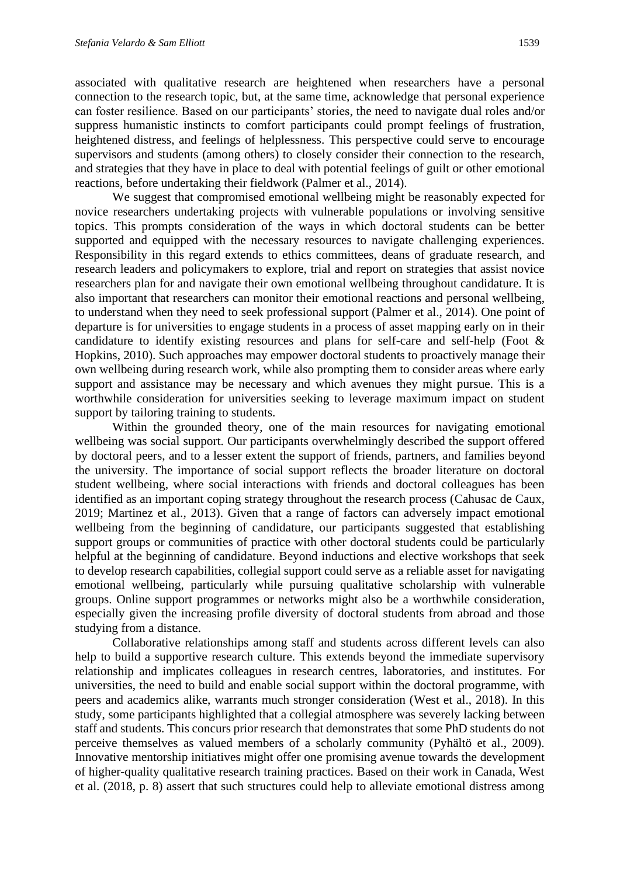associated with qualitative research are heightened when researchers have a personal connection to the research topic, but, at the same time, acknowledge that personal experience can foster resilience. Based on our participants' stories, the need to navigate dual roles and/or suppress humanistic instincts to comfort participants could prompt feelings of frustration, heightened distress, and feelings of helplessness. This perspective could serve to encourage supervisors and students (among others) to closely consider their connection to the research, and strategies that they have in place to deal with potential feelings of guilt or other emotional reactions, before undertaking their fieldwork (Palmer et al., 2014).

We suggest that compromised emotional wellbeing might be reasonably expected for novice researchers undertaking projects with vulnerable populations or involving sensitive topics. This prompts consideration of the ways in which doctoral students can be better supported and equipped with the necessary resources to navigate challenging experiences. Responsibility in this regard extends to ethics committees, deans of graduate research, and research leaders and policymakers to explore, trial and report on strategies that assist novice researchers plan for and navigate their own emotional wellbeing throughout candidature. It is also important that researchers can monitor their emotional reactions and personal wellbeing, to understand when they need to seek professional support (Palmer et al., 2014). One point of departure is for universities to engage students in a process of asset mapping early on in their candidature to identify existing resources and plans for self-care and self-help (Foot & Hopkins, 2010). Such approaches may empower doctoral students to proactively manage their own wellbeing during research work, while also prompting them to consider areas where early support and assistance may be necessary and which avenues they might pursue. This is a worthwhile consideration for universities seeking to leverage maximum impact on student support by tailoring training to students.

Within the grounded theory, one of the main resources for navigating emotional wellbeing was social support. Our participants overwhelmingly described the support offered by doctoral peers, and to a lesser extent the support of friends, partners, and families beyond the university. The importance of social support reflects the broader literature on doctoral student wellbeing, where social interactions with friends and doctoral colleagues has been identified as an important coping strategy throughout the research process (Cahusac de Caux, 2019; Martinez et al., 2013). Given that a range of factors can adversely impact emotional wellbeing from the beginning of candidature, our participants suggested that establishing support groups or communities of practice with other doctoral students could be particularly helpful at the beginning of candidature. Beyond inductions and elective workshops that seek to develop research capabilities, collegial support could serve as a reliable asset for navigating emotional wellbeing, particularly while pursuing qualitative scholarship with vulnerable groups. Online support programmes or networks might also be a worthwhile consideration, especially given the increasing profile diversity of doctoral students from abroad and those studying from a distance.

Collaborative relationships among staff and students across different levels can also help to build a supportive research culture. This extends beyond the immediate supervisory relationship and implicates colleagues in research centres, laboratories, and institutes. For universities, the need to build and enable social support within the doctoral programme, with peers and academics alike, warrants much stronger consideration (West et al., 2018). In this study, some participants highlighted that a collegial atmosphere was severely lacking between staff and students. This concurs prior research that demonstrates that some PhD students do not perceive themselves as valued members of a scholarly community (Pyhältö et al., 2009). Innovative mentorship initiatives might offer one promising avenue towards the development of higher-quality qualitative research training practices. Based on their work in Canada, West et al. (2018, p. 8) assert that such structures could help to alleviate emotional distress among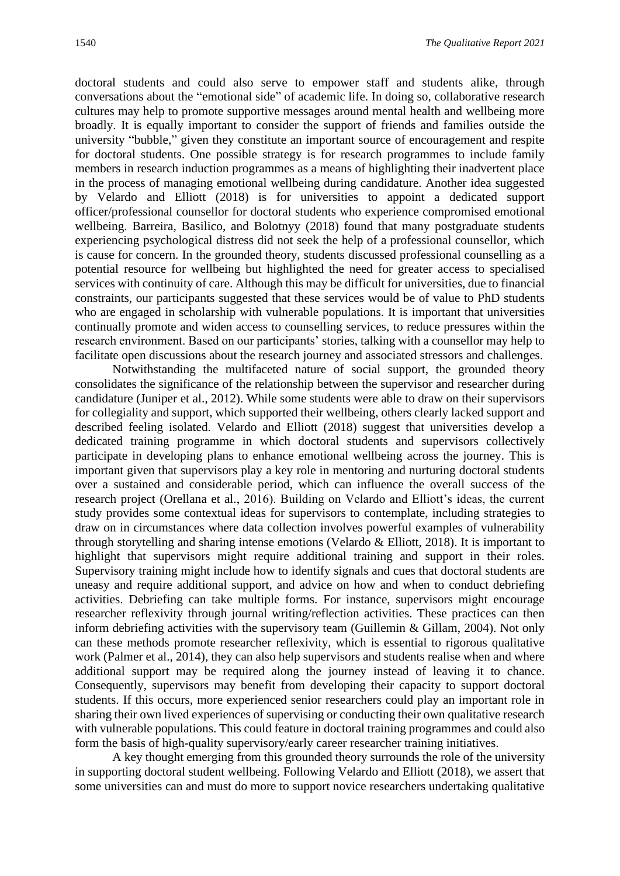doctoral students and could also serve to empower staff and students alike, through conversations about the "emotional side" of academic life. In doing so, collaborative research cultures may help to promote supportive messages around mental health and wellbeing more broadly. It is equally important to consider the support of friends and families outside the university "bubble," given they constitute an important source of encouragement and respite for doctoral students. One possible strategy is for research programmes to include family members in research induction programmes as a means of highlighting their inadvertent place in the process of managing emotional wellbeing during candidature. Another idea suggested by Velardo and Elliott (2018) is for universities to appoint a dedicated support officer/professional counsellor for doctoral students who experience compromised emotional wellbeing. Barreira, Basilico, and Bolotnyy (2018) found that many postgraduate students experiencing psychological distress did not seek the help of a professional counsellor, which is cause for concern. In the grounded theory, students discussed professional counselling as a potential resource for wellbeing but highlighted the need for greater access to specialised services with continuity of care. Although this may be difficult for universities, due to financial constraints, our participants suggested that these services would be of value to PhD students who are engaged in scholarship with vulnerable populations. It is important that universities continually promote and widen access to counselling services, to reduce pressures within the research environment. Based on our participants' stories, talking with a counsellor may help to facilitate open discussions about the research journey and associated stressors and challenges.

Notwithstanding the multifaceted nature of social support, the grounded theory consolidates the significance of the relationship between the supervisor and researcher during candidature (Juniper et al., 2012). While some students were able to draw on their supervisors for collegiality and support, which supported their wellbeing, others clearly lacked support and described feeling isolated. Velardo and Elliott (2018) suggest that universities develop a dedicated training programme in which doctoral students and supervisors collectively participate in developing plans to enhance emotional wellbeing across the journey. This is important given that supervisors play a key role in mentoring and nurturing doctoral students over a sustained and considerable period, which can influence the overall success of the research project (Orellana et al., 2016). Building on Velardo and Elliott's ideas, the current study provides some contextual ideas for supervisors to contemplate, including strategies to draw on in circumstances where data collection involves powerful examples of vulnerability through storytelling and sharing intense emotions (Velardo & Elliott, 2018). It is important to highlight that supervisors might require additional training and support in their roles. Supervisory training might include how to identify signals and cues that doctoral students are uneasy and require additional support, and advice on how and when to conduct debriefing activities. Debriefing can take multiple forms. For instance, supervisors might encourage researcher reflexivity through journal writing/reflection activities. These practices can then inform debriefing activities with the supervisory team (Guillemin & Gillam, 2004). Not only can these methods promote researcher reflexivity, which is essential to rigorous qualitative work (Palmer et al., 2014), they can also help supervisors and students realise when and where additional support may be required along the journey instead of leaving it to chance. Consequently, supervisors may benefit from developing their capacity to support doctoral students. If this occurs, more experienced senior researchers could play an important role in sharing their own lived experiences of supervising or conducting their own qualitative research with vulnerable populations. This could feature in doctoral training programmes and could also form the basis of high-quality supervisory/early career researcher training initiatives.

A key thought emerging from this grounded theory surrounds the role of the university in supporting doctoral student wellbeing. Following Velardo and Elliott (2018), we assert that some universities can and must do more to support novice researchers undertaking qualitative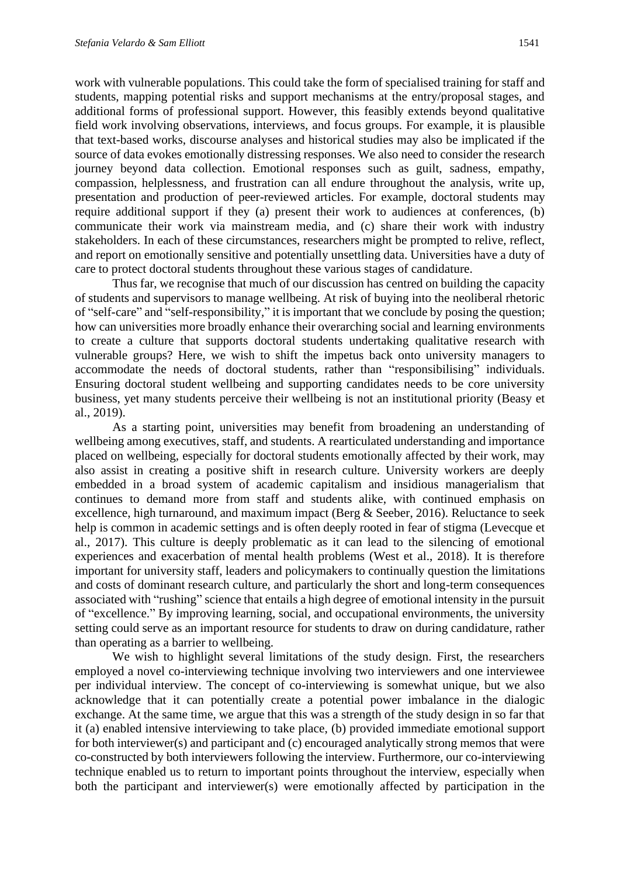work with vulnerable populations. This could take the form of specialised training for staff and students, mapping potential risks and support mechanisms at the entry/proposal stages, and additional forms of professional support. However, this feasibly extends beyond qualitative field work involving observations, interviews, and focus groups. For example, it is plausible that text-based works, discourse analyses and historical studies may also be implicated if the source of data evokes emotionally distressing responses. We also need to consider the research journey beyond data collection. Emotional responses such as guilt, sadness, empathy, compassion, helplessness, and frustration can all endure throughout the analysis, write up, presentation and production of peer-reviewed articles. For example, doctoral students may require additional support if they (a) present their work to audiences at conferences, (b) communicate their work via mainstream media, and (c) share their work with industry stakeholders. In each of these circumstances, researchers might be prompted to relive, reflect, and report on emotionally sensitive and potentially unsettling data. Universities have a duty of care to protect doctoral students throughout these various stages of candidature.

Thus far, we recognise that much of our discussion has centred on building the capacity of students and supervisors to manage wellbeing. At risk of buying into the neoliberal rhetoric of "self-care" and "self-responsibility," it is important that we conclude by posing the question; how can universities more broadly enhance their overarching social and learning environments to create a culture that supports doctoral students undertaking qualitative research with vulnerable groups? Here, we wish to shift the impetus back onto university managers to accommodate the needs of doctoral students, rather than "responsibilising" individuals. Ensuring doctoral student wellbeing and supporting candidates needs to be core university business, yet many students perceive their wellbeing is not an institutional priority (Beasy et al., 2019).

As a starting point, universities may benefit from broadening an understanding of wellbeing among executives, staff, and students. A rearticulated understanding and importance placed on wellbeing, especially for doctoral students emotionally affected by their work, may also assist in creating a positive shift in research culture. University workers are deeply embedded in a broad system of academic capitalism and insidious managerialism that continues to demand more from staff and students alike, with continued emphasis on excellence, high turnaround, and maximum impact (Berg & Seeber, 2016). Reluctance to seek help is common in academic settings and is often deeply rooted in fear of stigma (Levecque et al., 2017). This culture is deeply problematic as it can lead to the silencing of emotional experiences and exacerbation of mental health problems (West et al., 2018). It is therefore important for university staff, leaders and policymakers to continually question the limitations and costs of dominant research culture, and particularly the short and long-term consequences associated with "rushing" science that entails a high degree of emotional intensity in the pursuit of "excellence." By improving learning, social, and occupational environments, the university setting could serve as an important resource for students to draw on during candidature, rather than operating as a barrier to wellbeing.

We wish to highlight several limitations of the study design. First, the researchers employed a novel co-interviewing technique involving two interviewers and one interviewee per individual interview. The concept of co-interviewing is somewhat unique, but we also acknowledge that it can potentially create a potential power imbalance in the dialogic exchange. At the same time, we argue that this was a strength of the study design in so far that it (a) enabled intensive interviewing to take place, (b) provided immediate emotional support for both interviewer(s) and participant and (c) encouraged analytically strong memos that were co-constructed by both interviewers following the interview. Furthermore, our co-interviewing technique enabled us to return to important points throughout the interview, especially when both the participant and interviewer(s) were emotionally affected by participation in the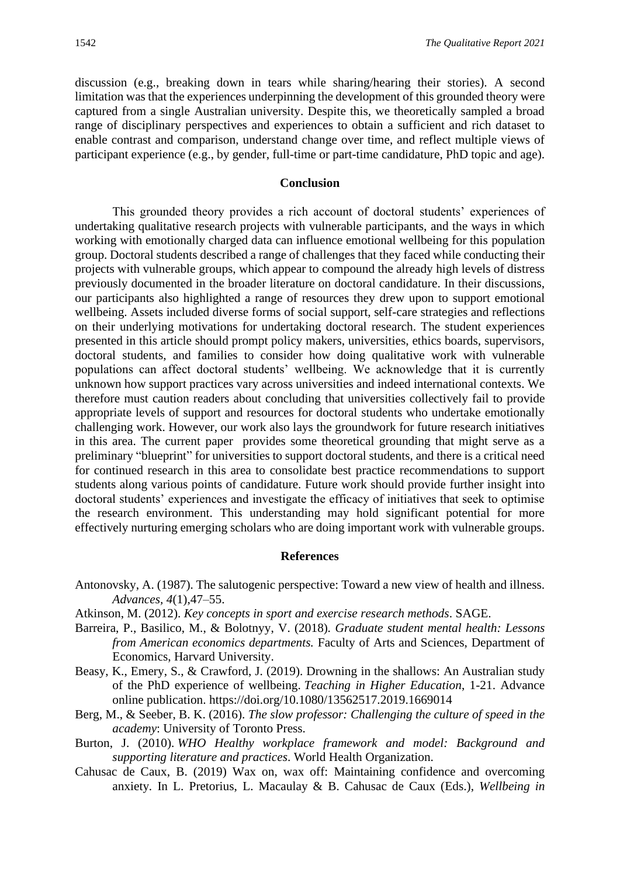discussion (e.g., breaking down in tears while sharing/hearing their stories). A second limitation was that the experiences underpinning the development of this grounded theory were captured from a single Australian university. Despite this, we theoretically sampled a broad range of disciplinary perspectives and experiences to obtain a sufficient and rich dataset to enable contrast and comparison, understand change over time, and reflect multiple views of participant experience (e.g., by gender, full-time or part-time candidature, PhD topic and age).

#### **Conclusion**

This grounded theory provides a rich account of doctoral students' experiences of undertaking qualitative research projects with vulnerable participants, and the ways in which working with emotionally charged data can influence emotional wellbeing for this population group. Doctoral students described a range of challenges that they faced while conducting their projects with vulnerable groups, which appear to compound the already high levels of distress previously documented in the broader literature on doctoral candidature. In their discussions, our participants also highlighted a range of resources they drew upon to support emotional wellbeing. Assets included diverse forms of social support, self-care strategies and reflections on their underlying motivations for undertaking doctoral research. The student experiences presented in this article should prompt policy makers, universities, ethics boards, supervisors, doctoral students, and families to consider how doing qualitative work with vulnerable populations can affect doctoral students' wellbeing. We acknowledge that it is currently unknown how support practices vary across universities and indeed international contexts. We therefore must caution readers about concluding that universities collectively fail to provide appropriate levels of support and resources for doctoral students who undertake emotionally challenging work. However, our work also lays the groundwork for future research initiatives in this area. The current paper provides some theoretical grounding that might serve as a preliminary "blueprint" for universities to support doctoral students, and there is a critical need for continued research in this area to consolidate best practice recommendations to support students along various points of candidature. Future work should provide further insight into doctoral students' experiences and investigate the efficacy of initiatives that seek to optimise the research environment. This understanding may hold significant potential for more effectively nurturing emerging scholars who are doing important work with vulnerable groups.

#### **References**

- Antonovsky, A. (1987). The salutogenic perspective: Toward a new view of health and illness. *Advances, 4*(1),47–55.
- Atkinson, M. (2012). *Key concepts in sport and exercise research methods*. SAGE.
- Barreira, P., Basilico, M., & Bolotnyy, V. (2018). *Graduate student mental health: Lessons from American economics departments.* Faculty of Arts and Sciences, Department of Economics, Harvard University.
- Beasy, K., Emery, S., & Crawford, J. (2019). Drowning in the shallows: An Australian study of the PhD experience of wellbeing. *Teaching in Higher Education*, 1-21. Advance online publication. https://doi.org/10.1080/13562517.2019.1669014
- Berg, M., & Seeber, B. K. (2016). *The slow professor: Challenging the culture of speed in the academy*: University of Toronto Press.
- Burton, J. (2010). *WHO Healthy workplace framework and model: Background and supporting literature and practices*. World Health Organization.
- Cahusac de Caux, B. (2019) Wax on, wax off: Maintaining confidence and overcoming anxiety*.* In L. Pretorius, L. Macaulay & B. Cahusac de Caux (Eds.), *Wellbeing in*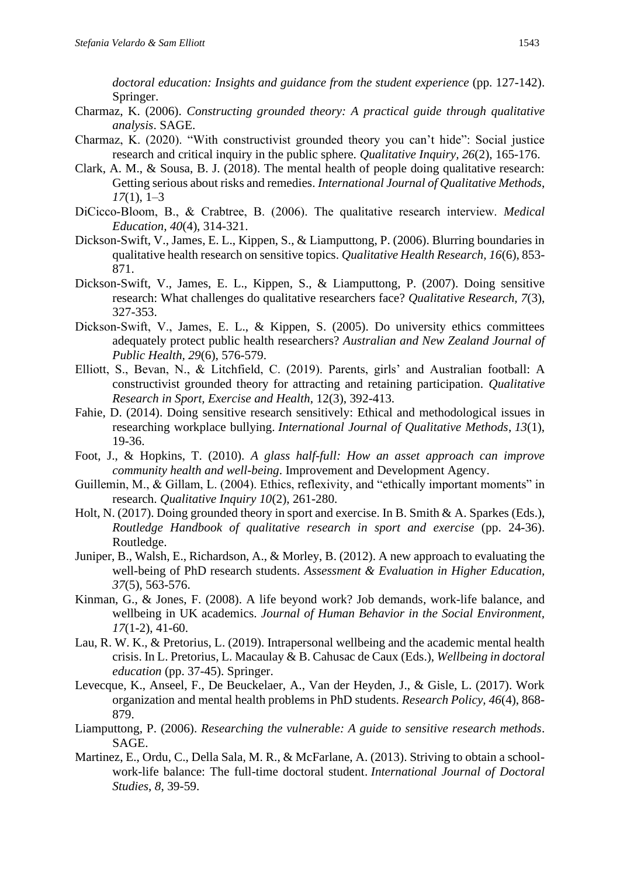*doctoral education: Insights and guidance from the student experience* (pp. 127-142). Springer.

- Charmaz, K. (2006). *Constructing grounded theory: A practical guide through qualitative analysis*. SAGE.
- Charmaz, K. (2020). "With constructivist grounded theory you can't hide": Social justice research and critical inquiry in the public sphere. *Qualitative Inquiry, 26*(2), 165-176.
- Clark, A. M., & Sousa, B. J. (2018). The mental health of people doing qualitative research: Getting serious about risks and remedies. *International Journal of Qualitative Methods*, *17*(1), 1–3
- DiCicco‐Bloom, B., & Crabtree, B. (2006). The qualitative research interview. *Medical Education, 40*(4), 314-321.
- Dickson-Swift, V., James, E. L., Kippen, S., & Liamputtong, P. (2006). Blurring boundaries in qualitative health research on sensitive topics. *Qualitative Health Research, 16*(6), 853- 871.
- Dickson-Swift, V., James, E. L., Kippen, S., & Liamputtong, P. (2007). Doing sensitive research: What challenges do qualitative researchers face? *Qualitative Research, 7*(3), 327-353.
- Dickson‐Swift, V., James, E. L., & Kippen, S. (2005). Do university ethics committees adequately protect public health researchers? *Australian and New Zealand Journal of Public Health, 29*(6), 576-579.
- Elliott, S., Bevan, N., & Litchfield, C. (2019). Parents, girls' and Australian football: A constructivist grounded theory for attracting and retaining participation. *Qualitative Research in Sport, Exercise and Health*, 12(3), 392-413.
- Fahie, D. (2014). Doing sensitive research sensitively: Ethical and methodological issues in researching workplace bullying. *International Journal of Qualitative Methods*, *13*(1), 19-36.
- Foot, J., & Hopkins, T. (2010). *A glass half-full: How an asset approach can improve community health and well-being*. Improvement and Development Agency.
- Guillemin, M., & Gillam, L. (2004). Ethics, reflexivity, and "ethically important moments" in research. *Qualitative Inquiry 10*(2), 261-280.
- Holt, N. (2017). Doing grounded theory in sport and exercise. In B. Smith & A. Sparkes (Eds.), *Routledge Handbook of qualitative research in sport and exercise* (pp. 24-36). Routledge.
- Juniper, B., Walsh, E., Richardson, A., & Morley, B. (2012). A new approach to evaluating the well-being of PhD research students. *Assessment & Evaluation in Higher Education, 37*(5), 563-576.
- Kinman, G., & Jones, F. (2008). A life beyond work? Job demands, work-life balance, and wellbeing in UK academics. *Journal of Human Behavior in the Social Environment, 17*(1-2), 41-60.
- Lau, R. W. K., & Pretorius, L. (2019). Intrapersonal wellbeing and the academic mental health crisis. In L. Pretorius, L. Macaulay & B. Cahusac de Caux (Eds.), *Wellbeing in doctoral education* (pp. 37-45). Springer.
- Levecque, K., Anseel, F., De Beuckelaer, A., Van der Heyden, J., & Gisle, L. (2017). Work organization and mental health problems in PhD students. *Research Policy, 46*(4), 868- 879.
- Liamputtong, P. (2006). *Researching the vulnerable: A guide to sensitive research methods*. SAGE.
- Martinez, E., Ordu, C., Della Sala, M. R., & McFarlane, A. (2013). Striving to obtain a schoolwork-life balance: The full-time doctoral student. *International Journal of Doctoral Studies*, *8*, 39-59.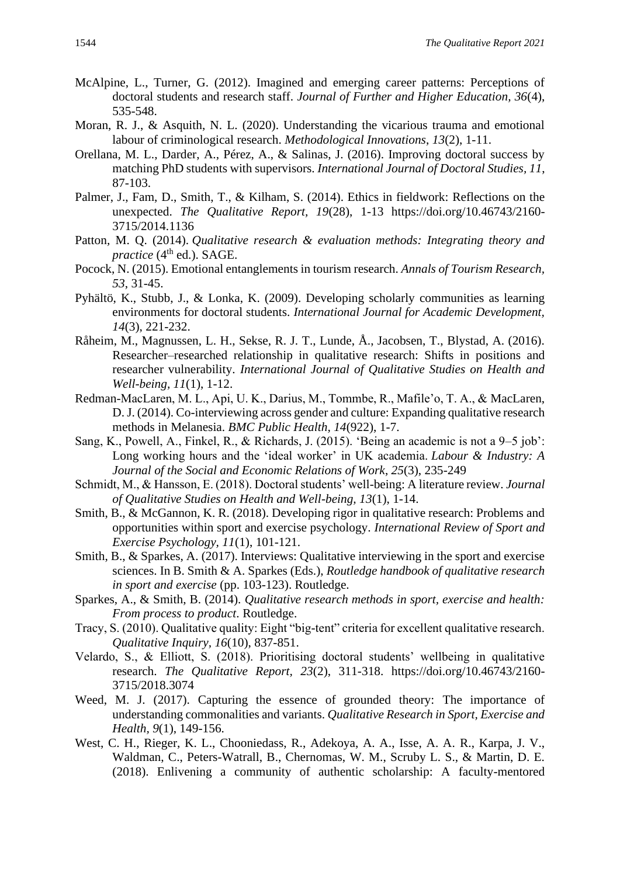- McAlpine, L., Turner, G. (2012). Imagined and emerging career patterns: Perceptions of doctoral students and research staff. *Journal of Further and Higher Education, 36*(4), 535-548.
- Moran, R. J., & Asquith, N. L. (2020). Understanding the vicarious trauma and emotional labour of criminological research. *Methodological Innovations*, *13*(2), 1-11.
- Orellana, M. L., Darder, A., Pérez, A., & Salinas, J. (2016). Improving doctoral success by matching PhD students with supervisors. *International Journal of Doctoral Studies, 11*, 87-103.
- Palmer, J., Fam, D., Smith, T., & Kilham, S. (2014). Ethics in fieldwork: Reflections on the unexpected. *The Qualitative Report, 19*(28), 1-13 https://doi.org/10.46743/2160- 3715/2014.1136
- Patton*,* M. Q. (2014). *Qualitative research & evaluation methods: Integrating theory and practice* (4<sup>th</sup> ed.). SAGE.
- Pocock, N. (2015). Emotional entanglements in tourism research. *Annals of Tourism Research, 53*, 31-45.
- Pyhältö, K., Stubb, J., & Lonka, K. (2009). Developing scholarly communities as learning environments for doctoral students. *International Journal for Academic Development, 14*(3), 221-232.
- Råheim, M., Magnussen, L. H., Sekse, R. J. T., Lunde, Å., Jacobsen, T., Blystad, A. (2016). Researcher–researched relationship in qualitative research: Shifts in positions and researcher vulnerability. *International Journal of Qualitative Studies on Health and Well-being, 11*(1), 1-12.
- Redman-MacLaren, M. L., Api, U. K., Darius, M., Tommbe, R., Mafile'o, T. A., & MacLaren, D. J. (2014). Co-interviewing across gender and culture: Expanding qualitative research methods in Melanesia. *BMC Public Health, 14*(922), 1-7.
- Sang, K., Powell, A., Finkel, R., & Richards, J. (2015). 'Being an academic is not a 9–5 job': Long working hours and the 'ideal worker' in UK academia. *Labour & Industry: A Journal of the Social and Economic Relations of Work*, *25*(3), 235-249
- Schmidt, M., & Hansson, E. (2018). Doctoral students' well-being: A literature review. *Journal of Qualitative Studies on Health and Well-being, 13*(1), 1-14.
- Smith, B., & McGannon, K. R. (2018). Developing rigor in qualitative research: Problems and opportunities within sport and exercise psychology. *International Review of Sport and Exercise Psychology, 11*(1), 101-121.
- Smith, B., & Sparkes, A. (2017). Interviews: Qualitative interviewing in the sport and exercise sciences. In B. Smith & A. Sparkes (Eds.), *Routledge handbook of qualitative research in sport and exercise* (pp. 103-123). Routledge.
- Sparkes, A., & Smith, B. (2014). *Qualitative research methods in sport, exercise and health: From process to product*. Routledge.
- Tracy, S. (2010). Qualitative quality: Eight "big-tent" criteria for excellent qualitative research. *Qualitative Inquiry, 16*(10), 837-851.
- Velardo, S., & Elliott, S. (2018). Prioritising doctoral students' wellbeing in qualitative research. *The Qualitative Report, 23*(2), 311-318. https://doi.org/10.46743/2160- 3715/2018.3074
- Weed, M. J. (2017). Capturing the essence of grounded theory: The importance of understanding commonalities and variants. *Qualitative Research in Sport, Exercise and Health, 9*(1), 149-156.
- West, C. H., Rieger, K. L., Chooniedass, R., Adekoya, A. A., Isse, A. A. R., Karpa, J. V., Waldman, C., Peters-Watrall, B., Chernomas, W. M., Scruby L. S., & Martin, D. E. (2018). Enlivening a community of authentic scholarship: A faculty-mentored